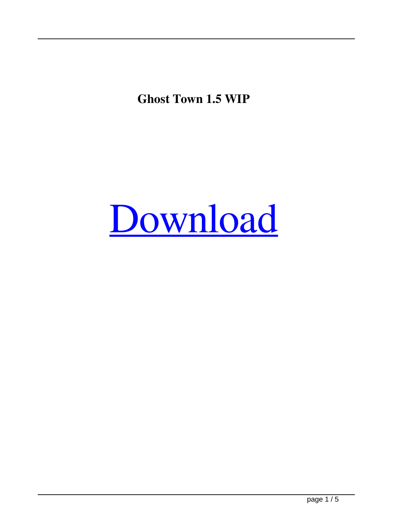**Ghost Town 1.5 WIP**

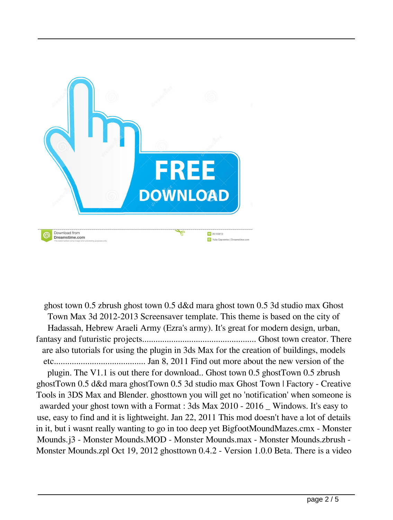

ghost town 0.5 zbrush ghost town 0.5 d&d mara ghost town 0.5 3d studio max Ghost Town Max 3d 2012-2013 Screensaver template. This theme is based on the city of Hadassah, Hebrew Araeli Army (Ezra's army). It's great for modern design, urban, fantasy and futuristic projects................................................... Ghost town creator. There are also tutorials for using the plugin in 3ds Max for the creation of buildings, models etc......................................... Jan 8, 2011 Find out more about the new version of the plugin. The V1.1 is out there for download.. Ghost town 0.5 ghostTown 0.5 zbrush ghostTown 0.5 d&d mara ghostTown 0.5 3d studio max Ghost Town | Factory - Creative Tools in 3DS Max and Blender. ghosttown you will get no 'notification' when someone is awarded your ghost town with a Format : 3ds Max 2010 - 2016 \_ Windows. It's easy to use, easy to find and it is lightweight. Jan 22, 2011 This mod doesn't have a lot of details in it, but i wasnt really wanting to go in too deep yet BigfootMoundMazes.cmx - Monster Mounds.j3 - Monster Mounds.MOD - Monster Mounds.max - Monster Mounds.zbrush - Monster Mounds.zpl Oct 19, 2012 ghosttown 0.4.2 - Version 1.0.0 Beta. There is a video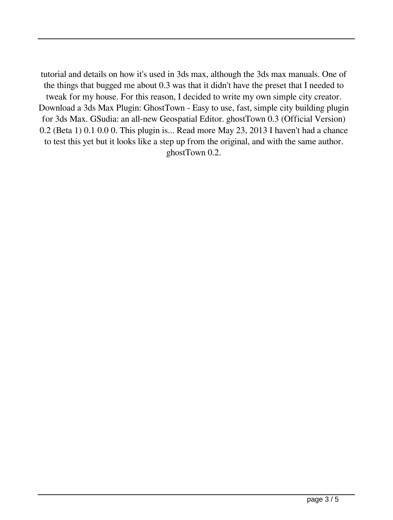tutorial and details on how it's used in 3ds max, although the 3ds max manuals. One of the things that bugged me about 0.3 was that it didn't have the preset that I needed to tweak for my house. For this reason, I decided to write my own simple city creator. Download a 3ds Max Plugin: GhostTown - Easy to use, fast, simple city building plugin for 3ds Max. GSudia: an all-new Geospatial Editor. ghostTown 0.3 (Official Version) 0.2 (Beta 1) 0.1 0.0 0. This plugin is... Read more May 23, 2013 I haven't had a chance to test this yet but it looks like a step up from the original, and with the same author. ghostTown 0.2.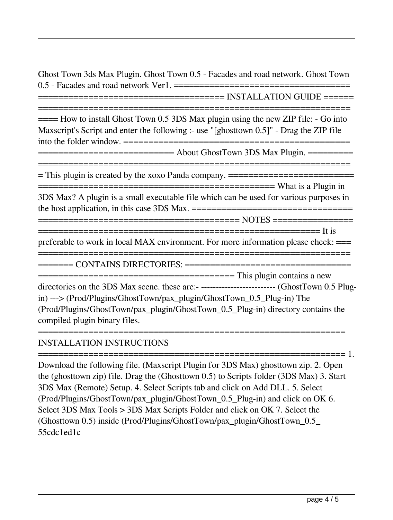Ghost Town 3ds Max Plugin. Ghost Town 0.5 - Facades and road network. Ghost Town 0.5 - Facades and road network Ver1. =================================== ===================================== INSTALLATION GUIDE ====== ==============================================================  $=\equiv$ === How to install Ghost Town 0.5 3DS Max plugin using the new ZIP file:  $\sim$  Go into Maxscript's Script and enter the following :- use "[ghosttown 0.5]" - Drag the ZIP file into the folder window. ============================================= =========================== About GhostTown 3DS Max Plugin. ========= ============================================================== = This plugin is created by the xoxo Panda company. ========================= =============================================== What is a Plugin in 3DS Max? A plugin is a small executable file which can be used for various purposes in the host application, in this case 3DS Max. ================================ ======================================== NOTES ================ ======================================================== It is preferable to work in local MAX environment. For more information please check: === ============================================================== ======= CONTAINS DIRECTORIES: ================================= ======================================= This plugin contains a new directories on the 3DS Max scene. these are:- ------------------------- (GhostTown 0.5 Plugin) ---> (Prod/Plugins/GhostTown/pax\_plugin/GhostTown\_0.5\_Plug-in) The (Prod/Plugins/GhostTown/pax\_plugin/GhostTown\_0.5\_Plug-in) directory contains the compiled plugin binary files. =============================================================

## INSTALLATION INSTRUCTIONS

Download the following file. (Maxscript Plugin for 3DS Max) ghosttown zip. 2. Open the (ghosttown zip) file. Drag the (Ghosttown 0.5) to Scripts folder (3DS Max) 3. Start 3DS Max (Remote) Setup. 4. Select Scripts tab and click on Add DLL. 5. Select (Prod/Plugins/GhostTown/pax\_plugin/GhostTown\_0.5\_Plug-in) and click on OK 6. Select 3DS Max Tools > 3DS Max Scripts Folder and click on OK 7. Select the (Ghosttown 0.5) inside (Prod/Plugins/GhostTown/pax\_plugin/GhostTown\_0.5\_ 55cdc1ed1c

============================================================= 1.